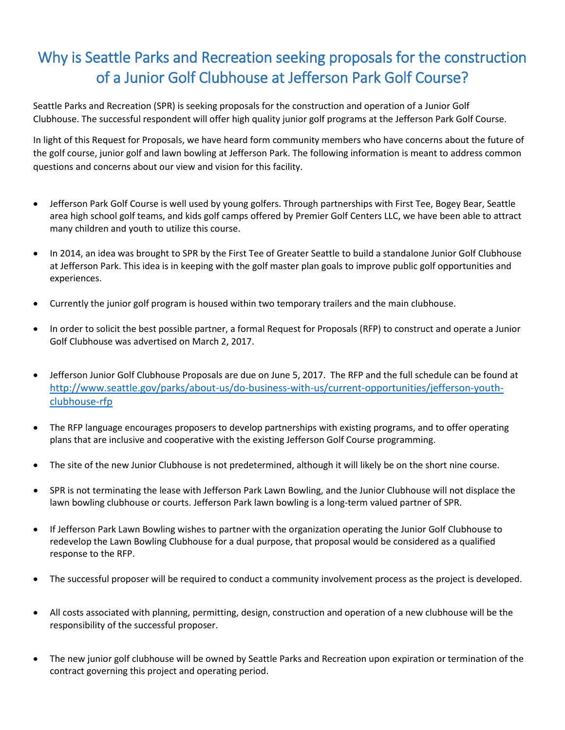## Why is Seattle Parks and Recreation seeking proposals for the construction of a Junior Golf Clubhouse at Jefferson Park Golf Course?

Seattle Parks and Recreation (SPR) is seeking proposals for the construction and operation of a Junior Golf Clubhouse. The successful respondent will offer high quality junior golf programs at the Jefferson Park Golf Course.

In light of this Request for Proposals, we have heard form community members who have concerns about the future of the golf course, junior golf and lawn bowling at Jefferson Park. The following information is meant to address common questions and concerns about our view and vision for this facility.

- Jefferson Park Golf Course is well used by young golfers. Through partnerships with First Tee, Bogey Bear, Seattle area high school golf teams, and kids golf camps offered by Premier Golf Centers LLC, we have been able to attract many children and youth to utilize this course.
- In 2014, an idea was brought to SPR by the First Tee of Greater Seattle to build a standalone Junior Golf Clubhouse at Jefferson Park. This idea is in keeping with the golf master plan goals to improve public golf opportunities and experiences.
- Currently the junior golf program is housed within two temporary trailers and the main clubhouse.
- In order to solicit the best possible partner, a formal Request for Proposals (RFP) to construct and operate a Junior Golf Clubhouse was advertised on March 2, 2017.
- Jefferson Junior Golf Clubhouse Proposals are due on June 5, 2017. The RFP and the full schedule can be found at [http://www.seattle.gov/parks/about-us/do-business-with-us/current-opportunities/jefferson-youth](http://www.seattle.gov/parks/about-us/do-business-with-us/current-opportunities/jefferson-youth-clubhouse-rfp)[clubhouse-rfp](http://www.seattle.gov/parks/about-us/do-business-with-us/current-opportunities/jefferson-youth-clubhouse-rfp)
- The RFP language encourages proposers to develop partnerships with existing programs, and to offer operating plans that are inclusive and cooperative with the existing Jefferson Golf Course programming.
- The site of the new Junior Clubhouse is not predetermined, although it will likely be on the short nine course.
- SPR is not terminating the lease with Jefferson Park Lawn Bowling, and the Junior Clubhouse will not displace the lawn bowling clubhouse or courts. Jefferson Park lawn bowling is a long-term valued partner of SPR.
- If Jefferson Park Lawn Bowling wishes to partner with the organization operating the Junior Golf Clubhouse to redevelop the Lawn Bowling Clubhouse for a dual purpose, that proposal would be considered as a qualified response to the RFP.
- The successful proposer will be required to conduct a community involvement process as the project is developed.
- All costs associated with planning, permitting, design, construction and operation of a new clubhouse will be the responsibility of the successful proposer.
- The new junior golf clubhouse will be owned by Seattle Parks and Recreation upon expiration or termination of the contract governing this project and operating period.